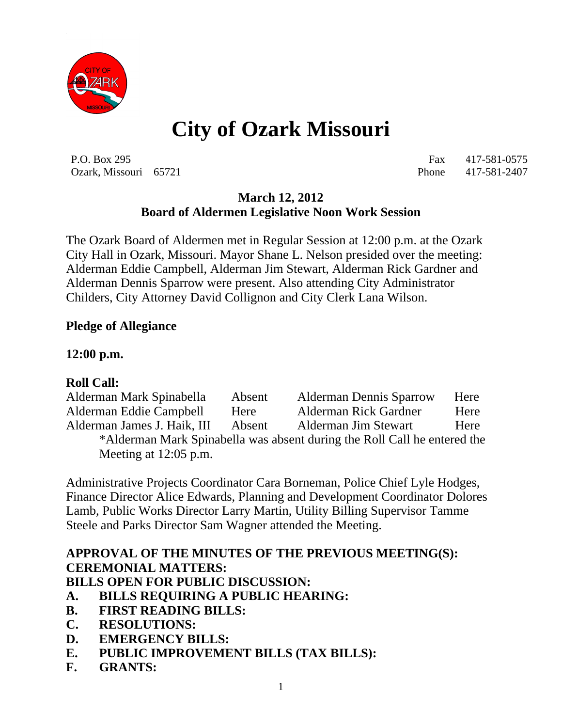

# **City of Ozark Missouri**

P.O. Box 295 Fax 417-581-0575 Ozark, Missouri 65721 Phone 417-581-2407

## **March 12, 2012 Board of Aldermen Legislative Noon Work Session**

The Ozark Board of Aldermen met in Regular Session at 12:00 p.m. at the Ozark City Hall in Ozark, Missouri. Mayor Shane L. Nelson presided over the meeting: Alderman Eddie Campbell, Alderman Jim Stewart, Alderman Rick Gardner and Alderman Dennis Sparrow were present. Also attending City Administrator Childers, City Attorney David Collignon and City Clerk Lana Wilson.

#### **Pledge of Allegiance**

#### **12:00 p.m.**

## **Roll Call:**

Alderman Mark Spinabella Absent Alderman Dennis Sparrow Here Alderman Eddie Campbell Here Alderman Rick Gardner Here Alderman James J. Haik, III Absent Alderman Jim Stewart Here \*Alderman Mark Spinabella was absent during the Roll Call he entered the Meeting at 12:05 p.m.

Administrative Projects Coordinator Cara Borneman, Police Chief Lyle Hodges, Finance Director Alice Edwards, Planning and Development Coordinator Dolores Lamb, Public Works Director Larry Martin, Utility Billing Supervisor Tamme Steele and Parks Director Sam Wagner attended the Meeting.

# **APPROVAL OF THE MINUTES OF THE PREVIOUS MEETING(S): CEREMONIAL MATTERS:**

**BILLS OPEN FOR PUBLIC DISCUSSION:**

- **A. BILLS REQUIRING A PUBLIC HEARING:**
- **B. FIRST READING BILLS:**
- **C. RESOLUTIONS:**
- **D. EMERGENCY BILLS:**
- **E. PUBLIC IMPROVEMENT BILLS (TAX BILLS):**
- **F. GRANTS:**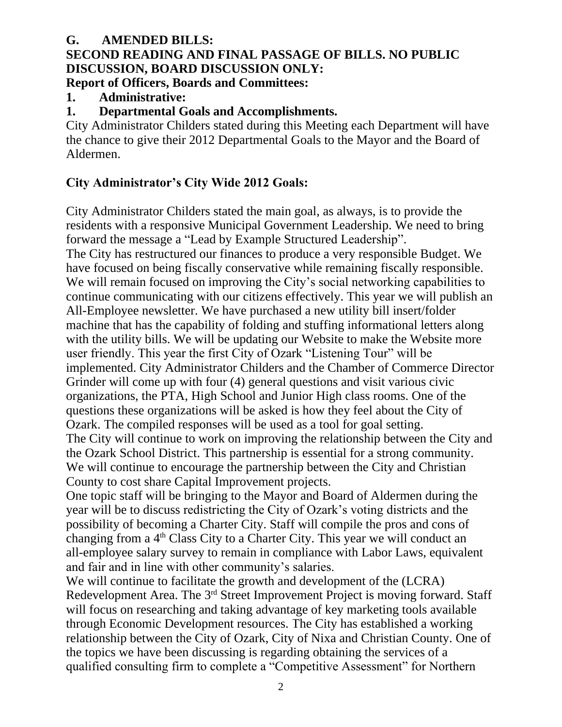#### **G. AMENDED BILLS: SECOND READING AND FINAL PASSAGE OF BILLS. NO PUBLIC DISCUSSION, BOARD DISCUSSION ONLY: Report of Officers, Boards and Committees:**

# **1. Administrative:**

## **1. Departmental Goals and Accomplishments.**

City Administrator Childers stated during this Meeting each Department will have the chance to give their 2012 Departmental Goals to the Mayor and the Board of Aldermen.

# **City Administrator's City Wide 2012 Goals:**

City Administrator Childers stated the main goal, as always, is to provide the residents with a responsive Municipal Government Leadership. We need to bring forward the message a "Lead by Example Structured Leadership". The City has restructured our finances to produce a very responsible Budget. We have focused on being fiscally conservative while remaining fiscally responsible. We will remain focused on improving the City's social networking capabilities to continue communicating with our citizens effectively. This year we will publish an All-Employee newsletter. We have purchased a new utility bill insert/folder machine that has the capability of folding and stuffing informational letters along with the utility bills. We will be updating our Website to make the Website more user friendly. This year the first City of Ozark "Listening Tour" will be implemented. City Administrator Childers and the Chamber of Commerce Director Grinder will come up with four (4) general questions and visit various civic organizations, the PTA, High School and Junior High class rooms. One of the questions these organizations will be asked is how they feel about the City of Ozark. The compiled responses will be used as a tool for goal setting. The City will continue to work on improving the relationship between the City and the Ozark School District. This partnership is essential for a strong community. We will continue to encourage the partnership between the City and Christian County to cost share Capital Improvement projects.

One topic staff will be bringing to the Mayor and Board of Aldermen during the year will be to discuss redistricting the City of Ozark's voting districts and the possibility of becoming a Charter City. Staff will compile the pros and cons of changing from a 4<sup>th</sup> Class City to a Charter City. This year we will conduct an all-employee salary survey to remain in compliance with Labor Laws, equivalent and fair and in line with other community's salaries.

We will continue to facilitate the growth and development of the (LCRA) Redevelopment Area. The 3<sup>rd</sup> Street Improvement Project is moving forward. Staff will focus on researching and taking advantage of key marketing tools available through Economic Development resources. The City has established a working relationship between the City of Ozark, City of Nixa and Christian County. One of the topics we have been discussing is regarding obtaining the services of a qualified consulting firm to complete a "Competitive Assessment" for Northern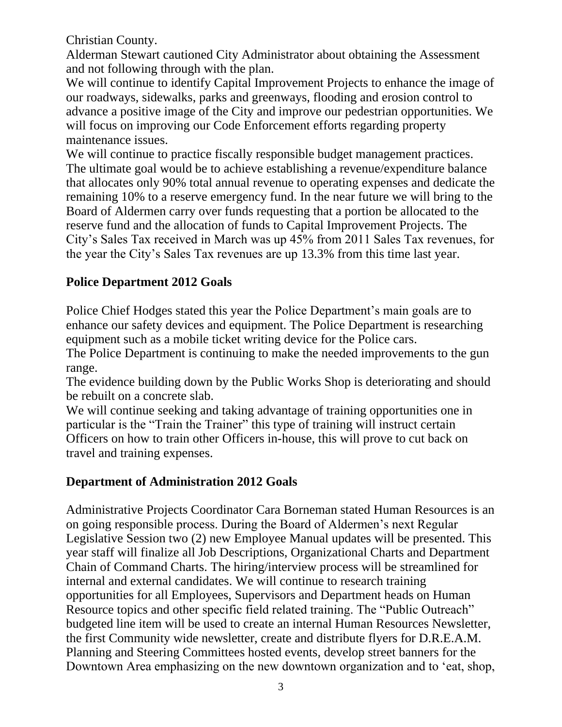Christian County.

Alderman Stewart cautioned City Administrator about obtaining the Assessment and not following through with the plan.

We will continue to identify Capital Improvement Projects to enhance the image of our roadways, sidewalks, parks and greenways, flooding and erosion control to advance a positive image of the City and improve our pedestrian opportunities. We will focus on improving our Code Enforcement efforts regarding property maintenance issues.

We will continue to practice fiscally responsible budget management practices. The ultimate goal would be to achieve establishing a revenue/expenditure balance that allocates only 90% total annual revenue to operating expenses and dedicate the remaining 10% to a reserve emergency fund. In the near future we will bring to the Board of Aldermen carry over funds requesting that a portion be allocated to the reserve fund and the allocation of funds to Capital Improvement Projects. The City's Sales Tax received in March was up 45% from 2011 Sales Tax revenues, for the year the City's Sales Tax revenues are up 13.3% from this time last year.

## **Police Department 2012 Goals**

Police Chief Hodges stated this year the Police Department's main goals are to enhance our safety devices and equipment. The Police Department is researching equipment such as a mobile ticket writing device for the Police cars.

The Police Department is continuing to make the needed improvements to the gun range.

The evidence building down by the Public Works Shop is deteriorating and should be rebuilt on a concrete slab.

We will continue seeking and taking advantage of training opportunities one in particular is the "Train the Trainer" this type of training will instruct certain Officers on how to train other Officers in-house, this will prove to cut back on travel and training expenses.

# **Department of Administration 2012 Goals**

Administrative Projects Coordinator Cara Borneman stated Human Resources is an on going responsible process. During the Board of Aldermen's next Regular Legislative Session two (2) new Employee Manual updates will be presented. This year staff will finalize all Job Descriptions, Organizational Charts and Department Chain of Command Charts. The hiring/interview process will be streamlined for internal and external candidates. We will continue to research training opportunities for all Employees, Supervisors and Department heads on Human Resource topics and other specific field related training. The "Public Outreach" budgeted line item will be used to create an internal Human Resources Newsletter, the first Community wide newsletter, create and distribute flyers for D.R.E.A.M. Planning and Steering Committees hosted events, develop street banners for the Downtown Area emphasizing on the new downtown organization and to 'eat, shop,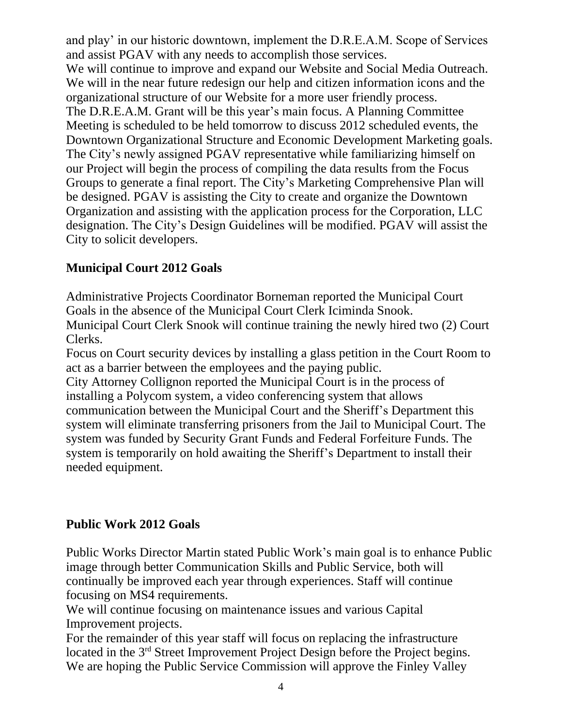and play' in our historic downtown, implement the D.R.E.A.M. Scope of Services and assist PGAV with any needs to accomplish those services. We will continue to improve and expand our Website and Social Media Outreach. We will in the near future redesign our help and citizen information icons and the organizational structure of our Website for a more user friendly process. The D.R.E.A.M. Grant will be this year's main focus. A Planning Committee Meeting is scheduled to be held tomorrow to discuss 2012 scheduled events, the Downtown Organizational Structure and Economic Development Marketing goals. The City's newly assigned PGAV representative while familiarizing himself on our Project will begin the process of compiling the data results from the Focus Groups to generate a final report. The City's Marketing Comprehensive Plan will be designed. PGAV is assisting the City to create and organize the Downtown Organization and assisting with the application process for the Corporation, LLC designation. The City's Design Guidelines will be modified. PGAV will assist the City to solicit developers.

#### **Municipal Court 2012 Goals**

Administrative Projects Coordinator Borneman reported the Municipal Court Goals in the absence of the Municipal Court Clerk Iciminda Snook. Municipal Court Clerk Snook will continue training the newly hired two (2) Court Clerks.

Focus on Court security devices by installing a glass petition in the Court Room to act as a barrier between the employees and the paying public.

City Attorney Collignon reported the Municipal Court is in the process of installing a Polycom system, a video conferencing system that allows communication between the Municipal Court and the Sheriff's Department this system will eliminate transferring prisoners from the Jail to Municipal Court. The system was funded by Security Grant Funds and Federal Forfeiture Funds. The system is temporarily on hold awaiting the Sheriff's Department to install their needed equipment.

## **Public Work 2012 Goals**

Public Works Director Martin stated Public Work's main goal is to enhance Public image through better Communication Skills and Public Service, both will continually be improved each year through experiences. Staff will continue focusing on MS4 requirements.

We will continue focusing on maintenance issues and various Capital Improvement projects.

For the remainder of this year staff will focus on replacing the infrastructure located in the 3<sup>rd</sup> Street Improvement Project Design before the Project begins. We are hoping the Public Service Commission will approve the Finley Valley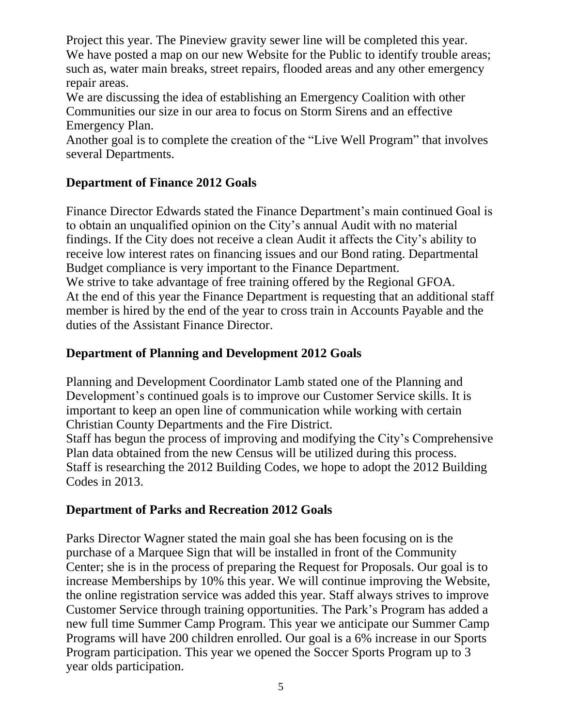Project this year. The Pineview gravity sewer line will be completed this year. We have posted a map on our new Website for the Public to identify trouble areas; such as, water main breaks, street repairs, flooded areas and any other emergency repair areas.

We are discussing the idea of establishing an Emergency Coalition with other Communities our size in our area to focus on Storm Sirens and an effective Emergency Plan.

Another goal is to complete the creation of the "Live Well Program" that involves several Departments.

# **Department of Finance 2012 Goals**

Finance Director Edwards stated the Finance Department's main continued Goal is to obtain an unqualified opinion on the City's annual Audit with no material findings. If the City does not receive a clean Audit it affects the City's ability to receive low interest rates on financing issues and our Bond rating. Departmental Budget compliance is very important to the Finance Department. We strive to take advantage of free training offered by the Regional GFOA. At the end of this year the Finance Department is requesting that an additional staff member is hired by the end of the year to cross train in Accounts Payable and the

duties of the Assistant Finance Director.

## **Department of Planning and Development 2012 Goals**

Planning and Development Coordinator Lamb stated one of the Planning and Development's continued goals is to improve our Customer Service skills. It is important to keep an open line of communication while working with certain Christian County Departments and the Fire District.

Staff has begun the process of improving and modifying the City's Comprehensive Plan data obtained from the new Census will be utilized during this process. Staff is researching the 2012 Building Codes, we hope to adopt the 2012 Building Codes in 2013.

## **Department of Parks and Recreation 2012 Goals**

Parks Director Wagner stated the main goal she has been focusing on is the purchase of a Marquee Sign that will be installed in front of the Community Center; she is in the process of preparing the Request for Proposals. Our goal is to increase Memberships by 10% this year. We will continue improving the Website, the online registration service was added this year. Staff always strives to improve Customer Service through training opportunities. The Park's Program has added a new full time Summer Camp Program. This year we anticipate our Summer Camp Programs will have 200 children enrolled. Our goal is a 6% increase in our Sports Program participation. This year we opened the Soccer Sports Program up to 3 year olds participation.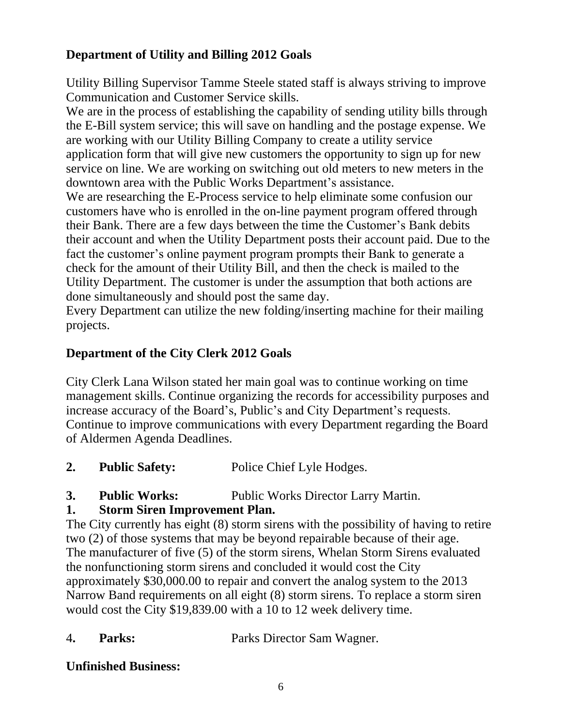# **Department of Utility and Billing 2012 Goals**

Utility Billing Supervisor Tamme Steele stated staff is always striving to improve Communication and Customer Service skills.

We are in the process of establishing the capability of sending utility bills through the E-Bill system service; this will save on handling and the postage expense. We are working with our Utility Billing Company to create a utility service application form that will give new customers the opportunity to sign up for new service on line. We are working on switching out old meters to new meters in the downtown area with the Public Works Department's assistance.

We are researching the E-Process service to help eliminate some confusion our customers have who is enrolled in the on-line payment program offered through their Bank. There are a few days between the time the Customer's Bank debits their account and when the Utility Department posts their account paid. Due to the fact the customer's online payment program prompts their Bank to generate a check for the amount of their Utility Bill, and then the check is mailed to the Utility Department. The customer is under the assumption that both actions are done simultaneously and should post the same day.

Every Department can utilize the new folding/inserting machine for their mailing projects.

# **Department of the City Clerk 2012 Goals**

City Clerk Lana Wilson stated her main goal was to continue working on time management skills. Continue organizing the records for accessibility purposes and increase accuracy of the Board's, Public's and City Department's requests. Continue to improve communications with every Department regarding the Board of Aldermen Agenda Deadlines.

- **2. Public Safety:** Police Chief Lyle Hodges.
- **3. Public Works:** Public Works Director Larry Martin.

# **1. Storm Siren Improvement Plan.**

The City currently has eight (8) storm sirens with the possibility of having to retire two (2) of those systems that may be beyond repairable because of their age. The manufacturer of five (5) of the storm sirens, Whelan Storm Sirens evaluated the nonfunctioning storm sirens and concluded it would cost the City approximately \$30,000.00 to repair and convert the analog system to the 2013 Narrow Band requirements on all eight (8) storm sirens. To replace a storm siren would cost the City \$19,839.00 with a 10 to 12 week delivery time.

4**. Parks:** Parks Director Sam Wagner.

## **Unfinished Business:**